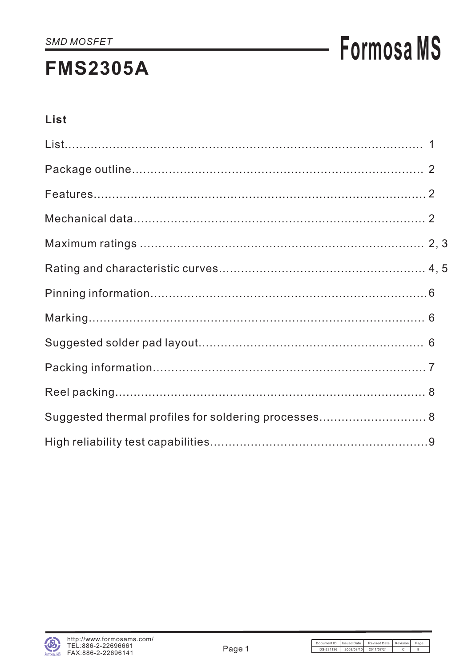### **FMS2305A**

## **Formosa MS**

#### List

| Suggested thermal profiles for soldering processes 8 |  |
|------------------------------------------------------|--|
|                                                      |  |

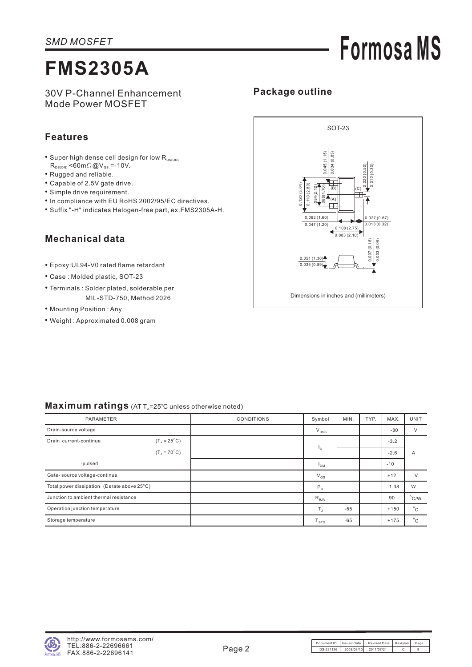# **Formosa MS**

### **FMS2305A**

30V P-Channel Enhancement Mode Power MOSFET

#### **Features**

- Super high dense cell design for low  $R_{DS(ON)}$  $R_{DS(ON)}$  <60m $\Omega$  @V<sub>GS</sub> =-10V.
- Rugged and reliable.
- Capable of 2.5V gate drive.
- Simple drive requirement.
- In compliance with EU RoHS 2002/95/EC directives.
- Suffix "-H" indicates Halogen-free part, ex.FMS2305A-H.

#### **Mechanical data**

- Epoxy:UL94-V0 rated flame retardant
- Case : Molded plastic, SOT-23
- Terminals : Solder plated, solderable per MIL-STD-750, Method 2026
- Mounting Position : Any
- Weight : Approximated 0.008 gram



**Package outline**

#### **Maximum ratings** (AT T<sub>a</sub>=25°C unless otherwise noted)

| PARAMETER                                             |                       | <b>CONDITIONS</b> | Symbol          | MIN.  | TYP. | MAX.   | <b>UNIT</b>    |
|-------------------------------------------------------|-----------------------|-------------------|-----------------|-------|------|--------|----------------|
| Drain-source voltage                                  |                       |                   | $V_{DSS}$       |       |      | $-30$  | $\vee$         |
| $(T_{A} = 25^{\circ}C)$<br>Drain current-continue     |                       |                   |                 |       |      | $-3.2$ |                |
|                                                       | $(T_A = 70^{\circ}C)$ |                   | <sup>1</sup> D  |       |      | $-2.6$ | A              |
| -pulsed                                               |                       |                   | $I_{DM}$        |       |      | $-10$  |                |
| Gate-source voltage-continue                          |                       |                   | $V_{GS}$        |       |      | ±12    | $\vee$         |
| Total power dissipation (Derate above $25^{\circ}$ C) |                       |                   | P <sub>D</sub>  |       |      | 1.38   | W              |
| Junction to ambient thermal resistance                |                       |                   | $R_{\theta JA}$ |       |      | 90     | $^{\circ}$ C/W |
| Operation junction temperature                        |                       |                   | $T_{\rm J}$     | $-55$ |      | $+150$ | $^{\circ}$ C   |
| Storage temperature                                   |                       |                   | $T_{STG}$       | $-65$ |      | $+175$ | $^{\circ}$ C   |

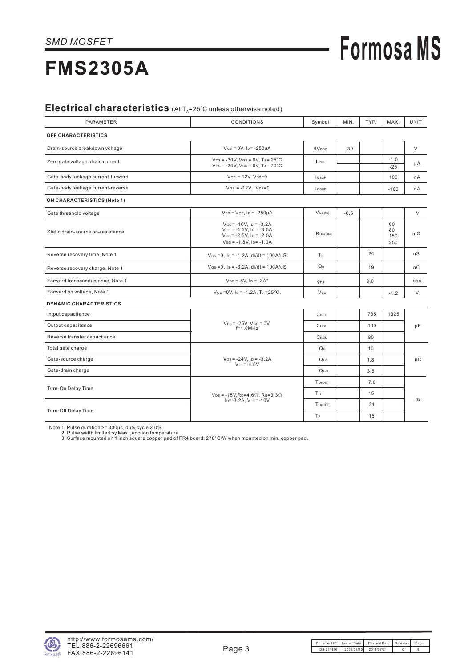# **Formosa MS**

### **FMS2305A**

#### Electrical characteristics (At T<sub>A</sub>=25°C unless otherwise noted)

| PARAMETER                          | CONDITIONS                                                                                                            | Symbol                   | MIN.   | TYP. | MAX.                   | UNIT      |
|------------------------------------|-----------------------------------------------------------------------------------------------------------------------|--------------------------|--------|------|------------------------|-----------|
| <b>OFF CHARACTERISTICS</b>         |                                                                                                                       |                          |        |      |                        |           |
| Drain-source breakdown voltage     | $V$ Gs = 0V, Ip = -250uA                                                                                              | <b>BV</b> <sub>DSS</sub> | $-30$  |      |                        | V         |
| Zero gate voltage drain current    | $V_{DS}$ = -30V, VGs = 0V, TJ = 25 <sup>°</sup> C<br>$V_{DS}$ = -24V, VGs = 0V, TJ = 70 <sup>°</sup> C                | Ipss                     |        |      | $-1.0$<br>$-25$        | μA        |
| Gate-body leakage current-forward  | $V$ Gs = 12V, $V$ Ds=0                                                                                                | <b>IGSSF</b>             |        |      | 100                    | nA        |
| Gate-body leakage current-reverse  | $V$ Gs = -12V, $V_{DS}=0$                                                                                             | <b>IGSSR</b>             |        |      | $-100$                 | nA        |
| <b>ON CHARACTERISTICS (Note 1)</b> |                                                                                                                       |                          |        |      |                        |           |
| Gate threshold voltage             | $V_{DS} = V_{GS}$ , $I_D = -250 \mu A$                                                                                | $V$ GS(th)               | $-0.5$ |      |                        | $\vee$    |
| Static drain-source on-resistance  | $V$ Gs = -10V, $I_D$ = -3.2A<br>$V$ GS = -4.5V, Ip = -3.0A<br>$V$ Gs = -2.5V, Ip = -2.0A<br>$V$ Gs = -1.8V, Ip= -1.0A | RDS(ON)                  |        |      | 60<br>80<br>150<br>250 | $m\Omega$ |
| Reverse recovery time, Note 1      | $V$ Gs = 0, Is = -1.2A, di/dt = 100A/uS                                                                               | T <sub>rr</sub>          |        | 24   |                        | nS        |
| Reverse recovery charge, Note 1    | $V$ GS = 0, Is = -3.2A, di/dt = 100A/uS                                                                               | $Q_{rr}$                 |        | 19   |                        | пC        |
| Forward transconductance, Note 1   | $V_{DS} = -5V$ , $I_D = -3A^*$                                                                                        | <b>GFS</b>               |        | 9.0  |                        | sec       |
| Forward on voltage, Note 1         | VGS = 0V, Is = -1.2A, TJ = $25^{\circ}$ C,                                                                            | <b>V</b> sp              |        |      | $-1.2$                 | $\vee$    |
| <b>DYNAMIC CHARACTERISTICS</b>     |                                                                                                                       |                          |        |      |                        |           |
| Intput capacitance                 |                                                                                                                       | Ciss                     |        | 735  | 1325                   |           |
| Output capacitance                 | $V_{DS} = -25V$ , $V_{GS} = 0V$ ,<br>$f=1.0MHz$                                                                       | Coss                     |        | 100  |                        | pF        |
| Reverse transfer capacitance       |                                                                                                                       | CRSS                     |        | 80   |                        |           |
| Total gate charge                  |                                                                                                                       | Q <sub>G</sub>           |        | 10   |                        |           |
| Gate-source charge                 | $V_{DS} = -24V$ , $I_D = -3.2A$<br>$V$ <sub>GS</sub> =-4.5V                                                           | QGS                      |        | 1.8  |                        | пC        |
| Gate-drain charge                  |                                                                                                                       | QGD                      |        | 3.6  |                        |           |
|                                    |                                                                                                                       | $T_{D(ON)}$              |        | 7.0  |                        |           |
| Turn-On Delay Time                 | $V_{DS}$ = -15V, R <sub>D</sub> =4.6 $\Omega$ , R <sub>G</sub> =3.3 $\Omega$                                          | <b>TR</b>                |        | 15   |                        |           |
|                                    | I <sub>D</sub> =-3.2A, V <sub>GS</sub> =-10V                                                                          | Top(OFF)                 |        | 21   |                        | ns        |
| Turn-Off Delay Time                |                                                                                                                       | TF                       |        | 15   |                        |           |

Note 1. Pulse duration >= 300µs, duty cycle 2.0%<br>2. Pulse width limited by Max. junction temperature<br>3. Surface mounted on 1 inch square copper pad of FR4 board; 270°C/W when mounted on min. copper pad.

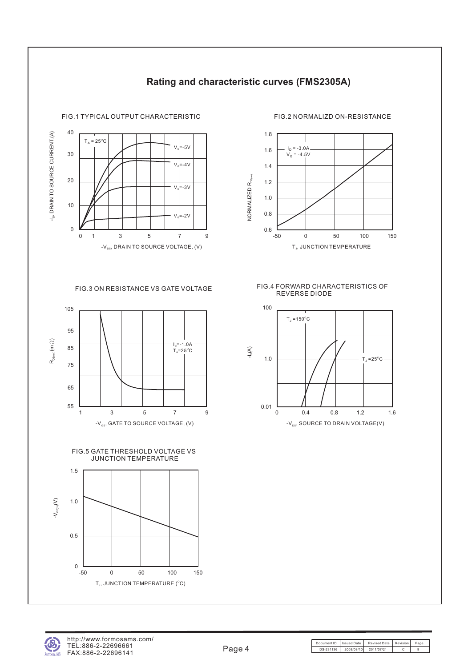

#### **Rating and characteristic curves (FMS2305A)**









FIG.3 ON RESISTANCE VS GATE VOLTAGE FIG.4 FORWARD CHARACTERISTICS OF REVERSE DIODE





Document ID | Issued Date | Revised Date | Revision | Page DS-231136 2009/08/10 2011/07/21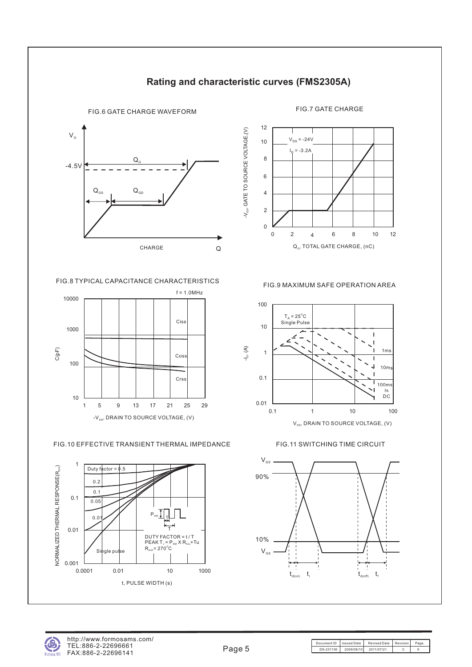

FIG.8 TYPICAL CAPACITANCE CHARACTERISTICS



FIG.10 EFFECTIVE TRANSIENT THERMAL IMPEDANCE





**Rating and characteristic curves (FMS2305A)**

FIG.9 MAXIMUM SAFE OPERATION AREA



FIG.11 SWITCHING TIME CIRCUIT

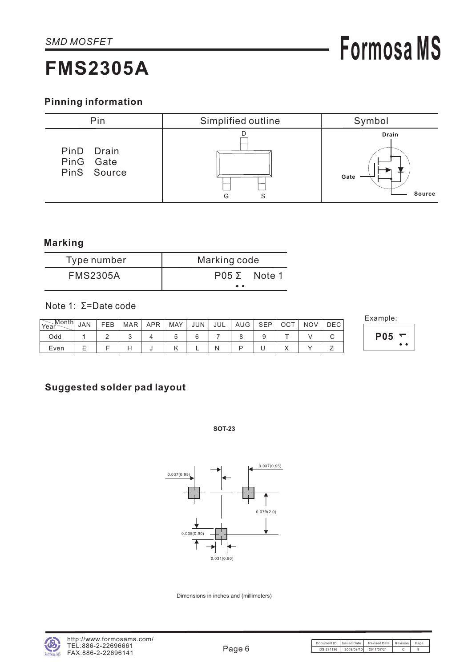### **FMS2305A**

**P05 <sup>1</sup>**

• •

#### **Pinning information**



#### **Marking**

| Type number     | Marking code                                 |  |  |  |  |  |
|-----------------|----------------------------------------------|--|--|--|--|--|
| <b>FMS2305A</b> | $P05 \Sigma$ Note 1                          |  |  |  |  |  |
|                 | $\bullet\hspace{0.4mm}\bullet\hspace{0.4mm}$ |  |  |  |  |  |

#### Note 1: Σ=Date code

| $\mathbin{\smash{\,\,\overline{\!\!\mathcal M\!}\,}}$ onth |            |     |     |            |            |            |     |     |            |     |            |      | Example:   |
|------------------------------------------------------------|------------|-----|-----|------------|------------|------------|-----|-----|------------|-----|------------|------|------------|
| Year                                                       | <b>JAN</b> | FEB | MAR | <b>APR</b> | MAY        | <b>JUN</b> | JUL | AUG | <b>SEP</b> | OCT | <b>NOV</b> | DEC. |            |
| Odd                                                        |            |     | u   |            |            |            |     |     |            |     |            | ີ    | <b>P05</b> |
| Even                                                       |            |     | Е   |            | $\sqrt{ }$ |            |     | n   | ີ          |     |            |      |            |

#### **Suggested solder pad layout**

**SOT-23**



Dimensions in inches and (millimeters)

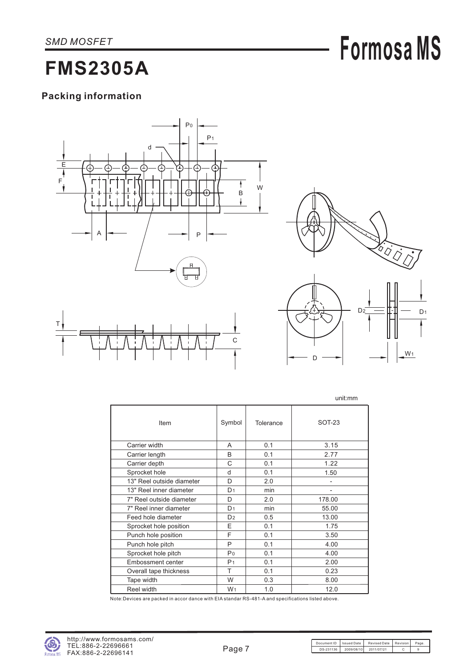## **Formosa MS**

### **FMS2305A**

#### **Packing information**





unit:mm

|                           |                |           | unu.nnn |
|---------------------------|----------------|-----------|---------|
| Item                      | Symbol         | Tolerance | SOT-23  |
| Carrier width             | A              | 0.1       | 3.15    |
| Carrier length            | B              | 0.1       | 2.77    |
| Carrier depth             | C              | 0.1       | 1.22    |
| Sprocket hole             | d              | 0.1       | 1.50    |
| 13" Reel outside diameter | D              | 2.0       |         |
| 13" Reel inner diameter   | D <sub>1</sub> | min       |         |
| 7" Reel outside diameter  | D              | 2.0       | 178.00  |
| 7" Reel inner diameter    | D <sub>1</sub> | min       | 55.00   |
| Feed hole diameter        | D <sub>2</sub> | 0.5       | 13.00   |
| Sprocket hole position    | E.             | 0.1       | 1.75    |
| Punch hole position       | F              | 0.1       | 3.50    |
| Punch hole pitch          | P              | 0.1       | 4.00    |
| Sprocket hole pitch       | P <sub>0</sub> | 0.1       | 4.00    |
| Embossment center         | P <sub>1</sub> | 0.1       | 2.00    |
| Overall tape thickness    | T              | 0.1       | 0.23    |
| Tape width                | W              | 0.3       | 8.00    |
| Reel width                | W <sub>1</sub> | 1.0       | 12.0    |

Note:Devices are packed in accor dance with EIA standar RS-481-A and specifications listed above.

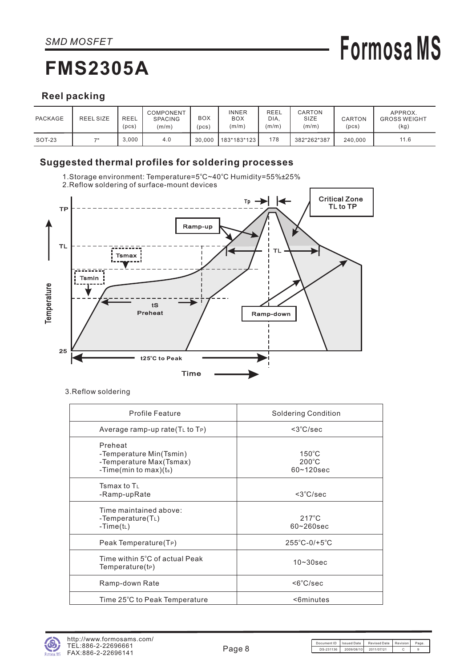### **FMS2305A**

# **Formosa MS**

#### **Reel packing**

| PACKAGE | REEL SIZE | <b>REEL</b><br>(pcs) | COMPONENT<br><b>SPACING</b><br>(m/m) | BOX<br>pcs) | <b>INNER</b><br><b>BOX</b><br>(m/m) | REEL<br>DIA.<br>(m/m) | CARTON<br>SIZE<br>(m/m) | CARTON<br>(pcs) | APPROX.<br><b>GROSS WEIGHT</b><br>(kg) |
|---------|-----------|----------------------|--------------------------------------|-------------|-------------------------------------|-----------------------|-------------------------|-----------------|----------------------------------------|
| SOT-23  | 70        | 3.000                | 4.0                                  | 30.000      | 183*183*123                         | 178                   | 382*262*387             | 240.000         | 11.6                                   |

#### **Suggested thermal profiles for soldering processes**



3.Reflow soldering

| <b>Profile Feature</b>                                                                      | <b>Soldering Condition</b>                           |
|---------------------------------------------------------------------------------------------|------------------------------------------------------|
| Average ramp-up rate $(TL$ to $TP)$                                                         | $<$ 3 $°C/sec$                                       |
| Preheat<br>-Temperature Min(Tsmin)<br>-Temperature Max(Tsmax)<br>-Time(min to max)( $t_s$ ) | $150^{\circ}$ C<br>$200^{\circ}$ C<br>$60 - 120$ sec |
| Tsmax to $T_{\perp}$<br>-Ramp-upRate                                                        | $<$ 3 $°C/sec$                                       |
| Time maintained above:<br>-Temperature( $T_L$ )<br>-Time( $t_L$ )                           | $217^{\circ}$ C<br>$60 - 260$ sec                    |
| Peak Temperature(T <sub>P</sub> )                                                           | $255^{\circ}$ C-0/+5 $^{\circ}$ C                    |
| Time within 5°C of actual Peak<br>Temperature(tP)                                           | $10 - 30$ sec                                        |
| Ramp-down Rate                                                                              | $<6^{\circ}$ C/sec                                   |
| Time 25°C to Peak Temperature                                                               | <6minutes                                            |